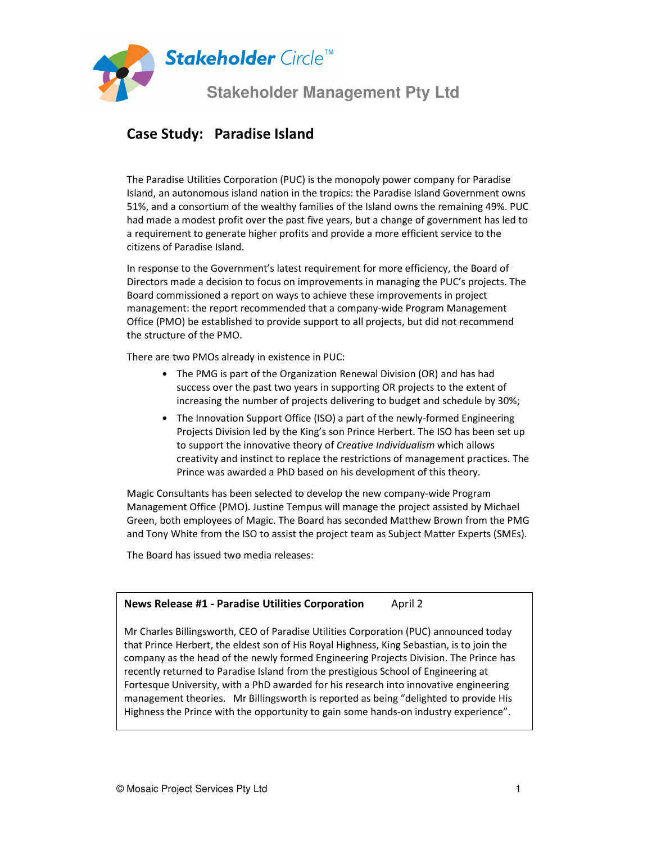

## **Case Study: Paradise Island**

The Paradise Utilities Corporation (PUC) is the monopoly power company for Paradise Island, an autonomous island nation in the tropics: the Paradise Island Government owns 51%, and a consortium of the wealthy families of the Island owns the remaining 49%. PUC had made a modest profit over the past five years, but a change of government has led to a requirement to generate higher profits and provide a more efficient service to the citizens of Paradise Island.

In response to the Government's latest requirement for more efficiency, the Board of Directors made a decision to focus on improvements in managing the PUC's projects. The Board commissioned a report on ways to achieve these improvements in project management: the report recommended that a company-wide Program Management Office (PMO) be established to provide support to all projects, but did not recommend the structure of the PMO.

There are two PMOs already in existence in PUC:

- The PMG is part of the Organization Renewal Division (OR) and has had success over the past two years in supporting OR projects to the extent of increasing the number of projects delivering to budget and schedule by 30%;
- The Innovation Support Office (ISO) a part of the newly-formed Engineering Projects Division led by the King's son Prince Herbert. The ISO has been set up to support the innovative theory of *Creative Individualism* which allows creativity and instinct to replace the restrictions of management practices. The Prince was awarded a PhD based on his development of this theory.

Magic Consultants has been selected to develop the new company-wide Program Management Office (PMO). Justine Tempus will manage the project assisted by Michael Green, both employees of Magic. The Board has seconded Matthew Brown from the PMG and Tony White from the ISO to assist the project team as Subject Matter Experts (SMEs).

The Board has issued two media releases:

### **News Release #1 - Paradise Utilities Corporation** April 2 Mr Charles Billingsworth, CEO of Paradise Utilities Corporation (PUC) announced today that Prince Herbert, the eldest son of His Royal Highness, King Sebastian, is to join the company as the head of the newly formed Engineering Projects Division. The Prince has recently returned to Paradise Island from the prestigious School of Engineering at Fortesque University, with a PhD awarded for his research into innovative engineering management theories. Mr Billingsworth is reported as being "delighted to provide His Highness the Prince with the opportunity to gain some hands-on industry experience".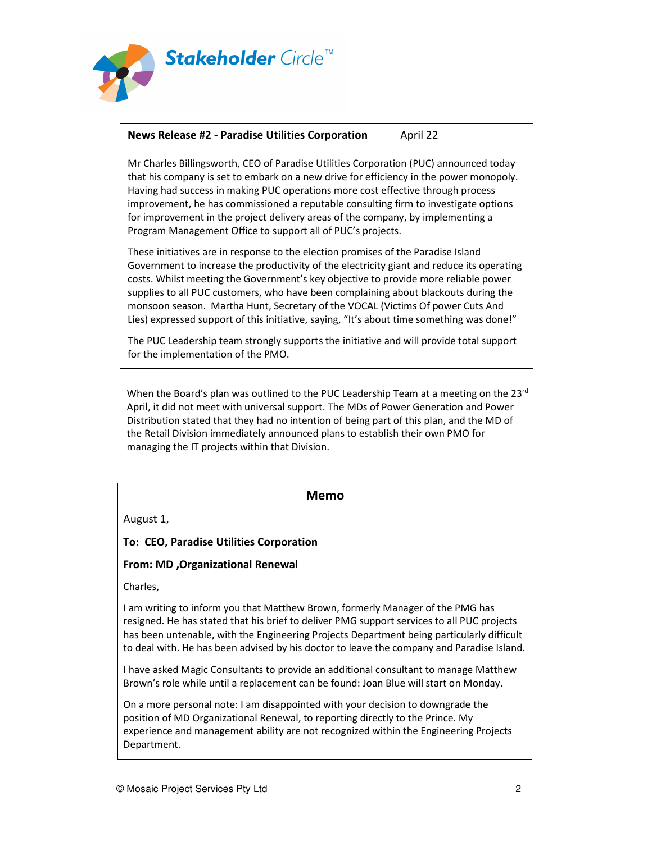

#### **News Release #2 - Paradise Utilities Corporation** April 22

Mr Charles Billingsworth, CEO of Paradise Utilities Corporation (PUC) announced today that his company is set to embark on a new drive for efficiency in the power monopoly. Having had success in making PUC operations more cost effective through process improvement, he has commissioned a reputable consulting firm to investigate options for improvement in the project delivery areas of the company, by implementing a Program Management Office to support all of PUC's projects.

These initiatives are in response to the election promises of the Paradise Island Government to increase the productivity of the electricity giant and reduce its operating costs. Whilst meeting the Government's key objective to provide more reliable power supplies to all PUC customers, who have been complaining about blackouts during the monsoon season. Martha Hunt, Secretary of the VOCAL (Victims Of power Cuts And Lies) expressed support of this initiative, saying, "It's about time something was done!"

The PUC Leadership team strongly supports the initiative and will provide total support for the implementation of the PMO.

When the Board's plan was outlined to the PUC Leadership Team at a meeting on the  $23<sup>rd</sup>$ April, it did not meet with universal support. The MDs of Power Generation and Power Distribution stated that they had no intention of being part of this plan, and the MD of the Retail Division immediately announced plans to establish their own PMO for managing the IT projects within that Division.

#### **Memo**

August 1,

#### **To: CEO, Paradise Utilities Corporation**

#### **From: MD ,Organizational Renewal**

Charles,

I am writing to inform you that Matthew Brown, formerly Manager of the PMG has resigned. He has stated that his brief to deliver PMG support services to all PUC projects has been untenable, with the Engineering Projects Department being particularly difficult to deal with. He has been advised by his doctor to leave the company and Paradise Island.

I have asked Magic Consultants to provide an additional consultant to manage Matthew Brown's role while until a replacement can be found: Joan Blue will start on Monday.

On a more personal note: I am disappointed with your decision to downgrade the position of MD Organizational Renewal, to reporting directly to the Prince. My experience and management ability are not recognized within the Engineering Projects Department.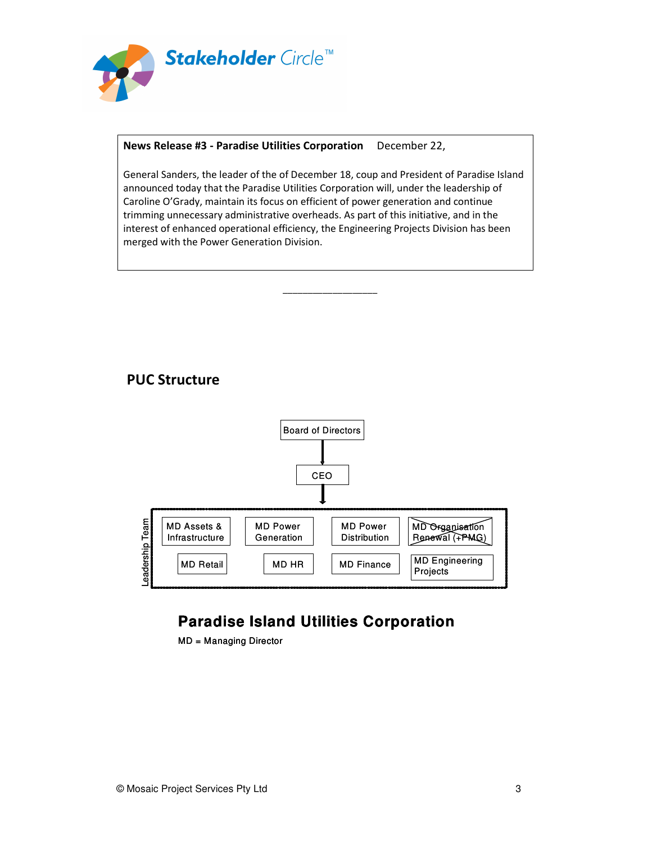

#### **News Release #3 - Paradise Utilities Corporation** December 22,

General Sanders, the leader of the of December 18, coup and President of Paradise Island announced today that the Paradise Utilities Corporation will, under the leadership of Caroline O'Grady, maintain its focus on efficient of power generation and continue trimming unnecessary administrative overheads. As part of this initiative, and in the interest of enhanced operational efficiency, the Engineering Projects Division has been merged with the Power Generation Division.

\_\_\_\_\_\_\_\_\_\_\_\_\_\_\_\_\_\_\_

### **PUC Structure**



# **Paradise Island Utilities Corporation**

MD = Managing Director